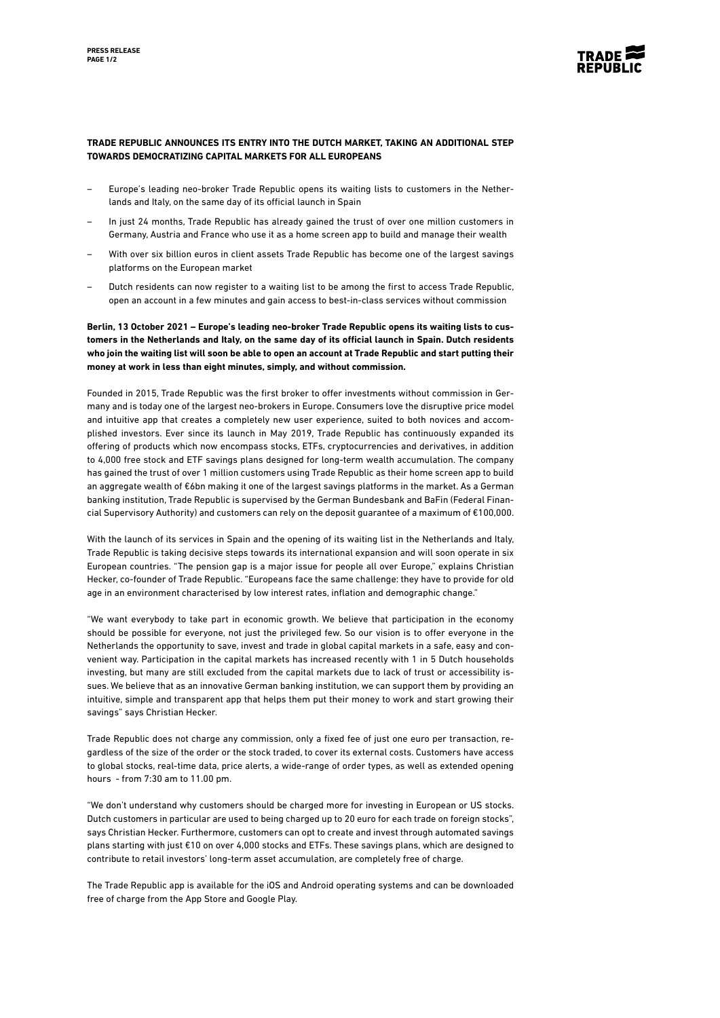

## **TRADE REPUBLIC ANNOUNCES ITS ENTRY INTO THE DUTCH MARKET, TAKING AN ADDITIONAL STEP TOWARDS DEMOCRATIZING CAPITAL MARKETS FOR ALL EUROPEANS**

- Europe's leading neo-broker Trade Republic opens its waiting lists to customers in the Netherlands and Italy, on the same day of its official launch in Spain
- In just 24 months, Trade Republic has already gained the trust of over one million customers in Germany, Austria and France who use it as a home screen app to build and manage their wealth
- With over six billion euros in client assets Trade Republic has become one of the largest savings platforms on the European market
- Dutch residents can now register to a waiting list to be among the first to access Trade Republic, open an account in a few minutes and gain access to best-in-class services without commission

**Berlin, 13 October 2021 – Europe's leading neo-broker Trade Republic opens its waiting lists to customers in the Netherlands and Italy, on the same day of its official launch in Spain. Dutch residents who join the waiting list will soon be able to open an account at Trade Republic and start putting their money at work in less than eight minutes, simply, and without commission.** 

Founded in 2015, Trade Republic was the first broker to offer investments without commission in Germany and is today one of the largest neo-brokers in Europe. Consumers love the disruptive price model and intuitive app that creates a completely new user experience, suited to both novices and accomplished investors. Ever since its launch in May 2019, Trade Republic has continuously expanded its offering of products which now encompass stocks, ETFs, cryptocurrencies and derivatives, in addition to 4,000 free stock and ETF savings plans designed for long-term wealth accumulation. The company has gained the trust of over 1 million customers using Trade Republic as their home screen app to build an aggregate wealth of €6bn making it one of the largest savings platforms in the market. As a German banking institution, Trade Republic is supervised by the German Bundesbank and BaFin (Federal Financial Supervisory Authority) and customers can rely on the deposit guarantee of a maximum of €100,000.

With the launch of its services in Spain and the opening of its waiting list in the Netherlands and Italy, Trade Republic is taking decisive steps towards its international expansion and will soon operate in six European countries. "The pension gap is a major issue for people all over Europe," explains Christian Hecker, co-founder of Trade Republic. "Europeans face the same challenge: they have to provide for old age in an environment characterised by low interest rates, inflation and demographic change."

"We want everybody to take part in economic growth. We believe that participation in the economy should be possible for everyone, not just the privileged few. So our vision is to offer everyone in the Netherlands the opportunity to save, invest and trade in global capital markets in a safe, easy and convenient way. Participation in the capital markets has increased recently with 1 in 5 Dutch households investing, but many are still excluded from the capital markets due to lack of trust or accessibility issues. We believe that as an innovative German banking institution, we can support them by providing an intuitive, simple and transparent app that helps them put their money to work and start growing their savings" says Christian Hecker.

Trade Republic does not charge any commission, only a fixed fee of just one euro per transaction, regardless of the size of the order or the stock traded, to cover its external costs. Customers have access to global stocks, real-time data, price alerts, a wide-range of order types, as well as extended opening hours - from 7:30 am to 11.00 pm.

"We don't understand why customers should be charged more for investing in European or US stocks. Dutch customers in particular are used to being charged up to 20 euro for each trade on foreign stocks", says Christian Hecker. Furthermore, customers can opt to create and invest through automated savings plans starting with just €10 on over 4,000 stocks and ETFs. These savings plans, which are designed to contribute to retail investors' long-term asset accumulation, are completely free of charge.

The Trade Republic app is available for the iOS and Android operating systems and can be downloaded free of charge from the App Store and Google Play.